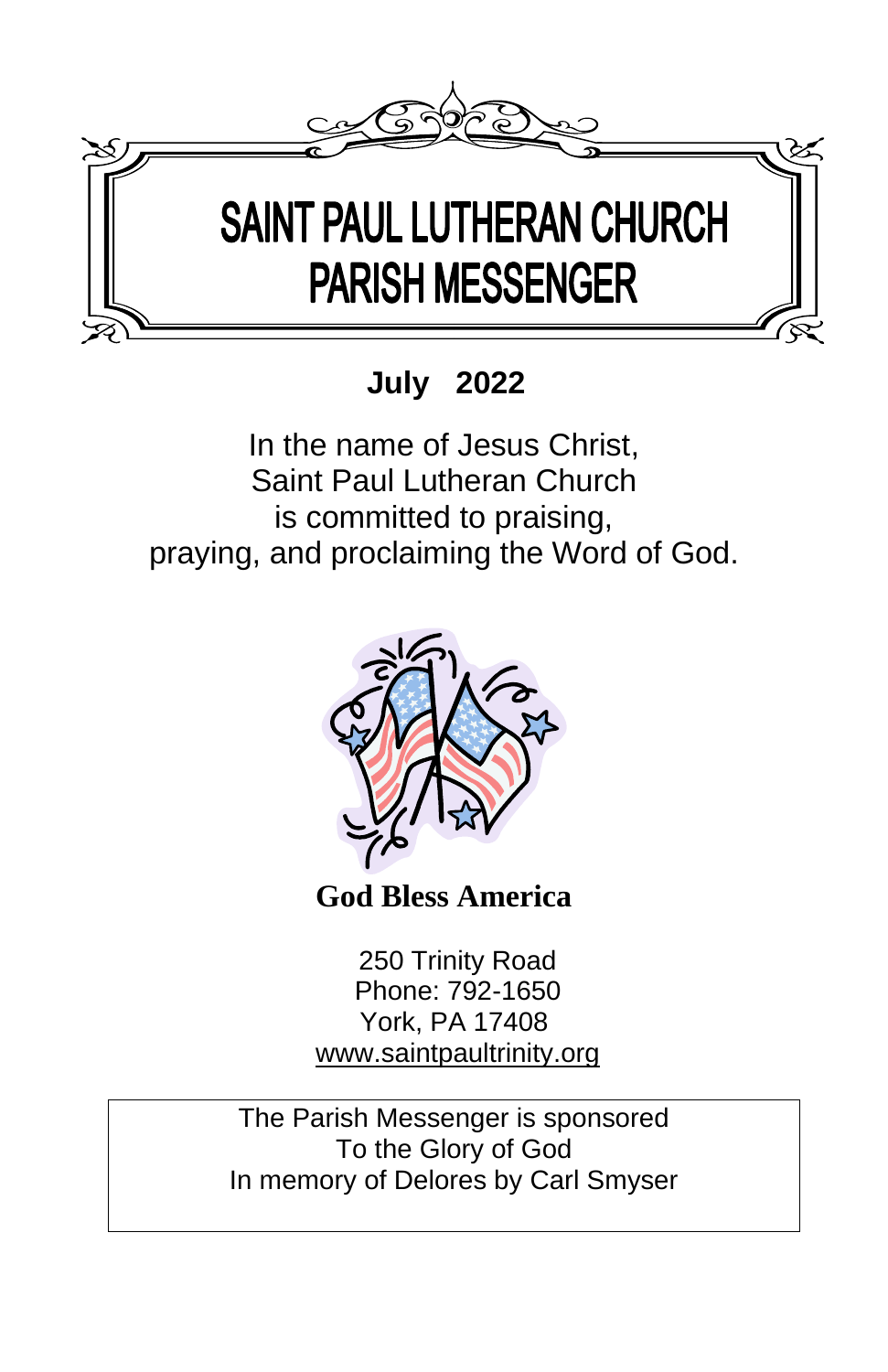

 **July 2022**

In the name of Jesus Christ, Saint Paul Lutheran Church is committed to praising, praying, and proclaiming the Word of God.



**God Bless America** 

250 Trinity Road Phone: 792-1650 York, PA 17408 [www.saintpaultrinity.org](http://www.saintpaultrinity.org/)

The Parish Messenger is sponsored To the Glory of God In memory of Delores by Carl Smyser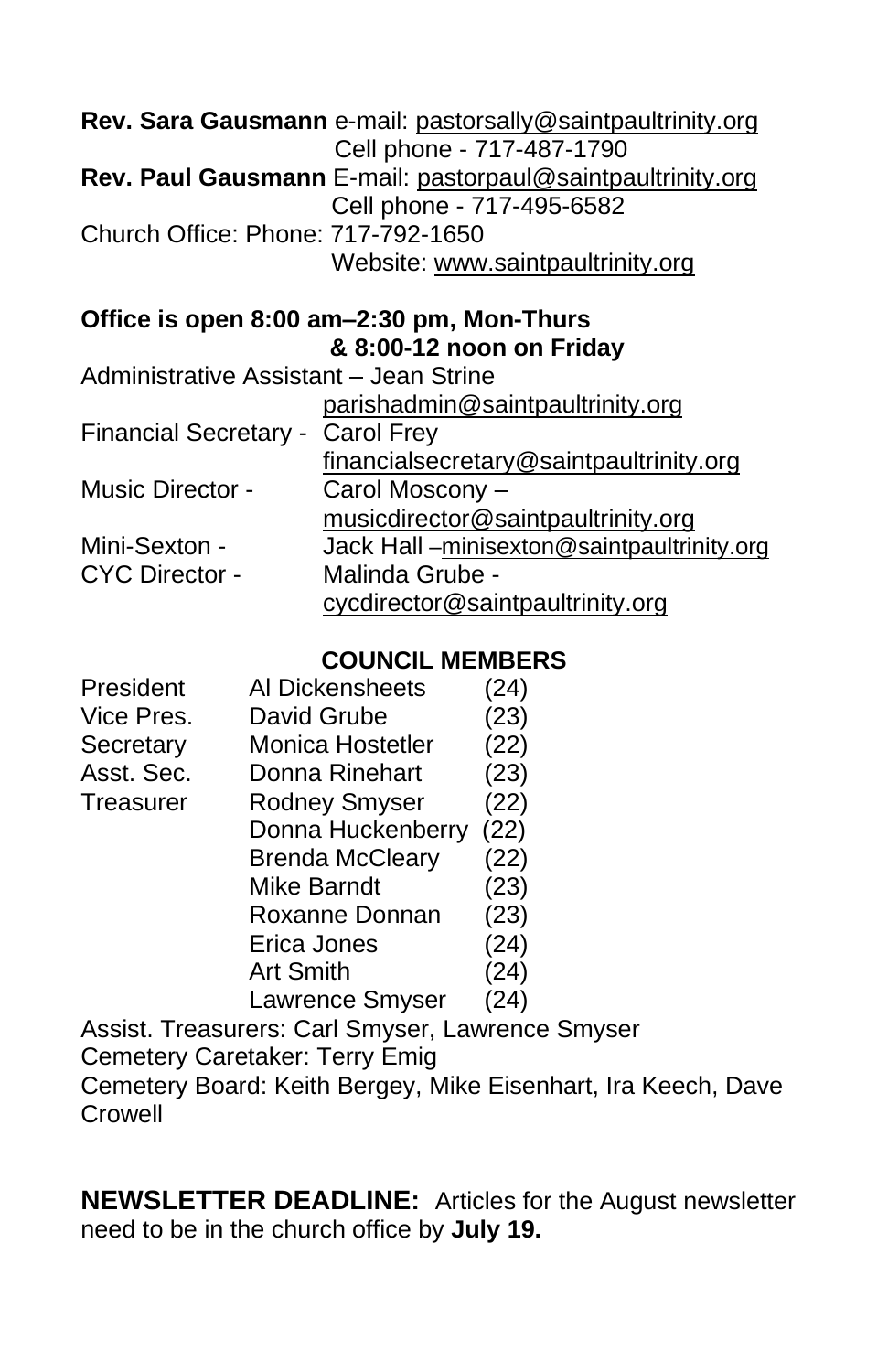|                                        | Rev. Sara Gausmann e-mail: pastorsally@saintpaultrinity.org<br>Cell phone - 717-487-1790 |
|----------------------------------------|------------------------------------------------------------------------------------------|
|                                        | <b>Rev. Paul Gausmann</b> E-mail: pastorpaul@saintpaultrinity.org                        |
|                                        | Cell phone - 717-495-6582                                                                |
| Church Office: Phone: 717-792-1650     |                                                                                          |
|                                        | Website: www.saintpaultrinity.org                                                        |
|                                        | Office is open 8:00 am-2:30 pm, Mon-Thurs                                                |
|                                        | & 8:00-12 noon on Friday                                                                 |
| Administrative Assistant - Jean Strine |                                                                                          |
|                                        | parishadmin@saintpaultrinity.org                                                         |
| Financial Secretary - Carol Frey       |                                                                                          |
|                                        | financialsecretary@saintpaultrinity.org                                                  |
| <b>Music Director -</b>                | Carol Moscony -                                                                          |
|                                        | musicdirector@saintpaultrinity.org                                                       |
| Mini-Sexton -                          | Jack Hall-minisexton@saintpaultrinity.org                                                |
| <b>CYC Director -</b>                  | Malinda Grube -                                                                          |
|                                        | cycdirector@saintpaultrinity.org                                                         |

#### **COUNCIL MEMBERS**

| President  | Al Dickensheets         | (24) |
|------------|-------------------------|------|
| Vice Pres. | David Grube             | (23) |
| Secretary  | <b>Monica Hostetler</b> | (22) |
| Asst. Sec. | Donna Rinehart          | (23) |
| Treasurer  | <b>Rodney Smyser</b>    | (22) |
|            | Donna Huckenberry       | (22) |
|            | <b>Brenda McCleary</b>  | (22) |
|            | Mike Barndt             | (23) |
|            | Roxanne Donnan          | (23) |
|            | Erica Jones             | (24) |
|            | <b>Art Smith</b>        | (24) |
|            | Lawrence Smyser         | (24) |
|            |                         |      |

Assist. Treasurers: Carl Smyser, Lawrence Smyser Cemetery Caretaker: Terry Emig Cemetery Board: Keith Bergey, Mike Eisenhart, Ira Keech, Dave Crowell

**NEWSLETTER DEADLINE:** Articles for the August newsletter need to be in the church office by **July 19.**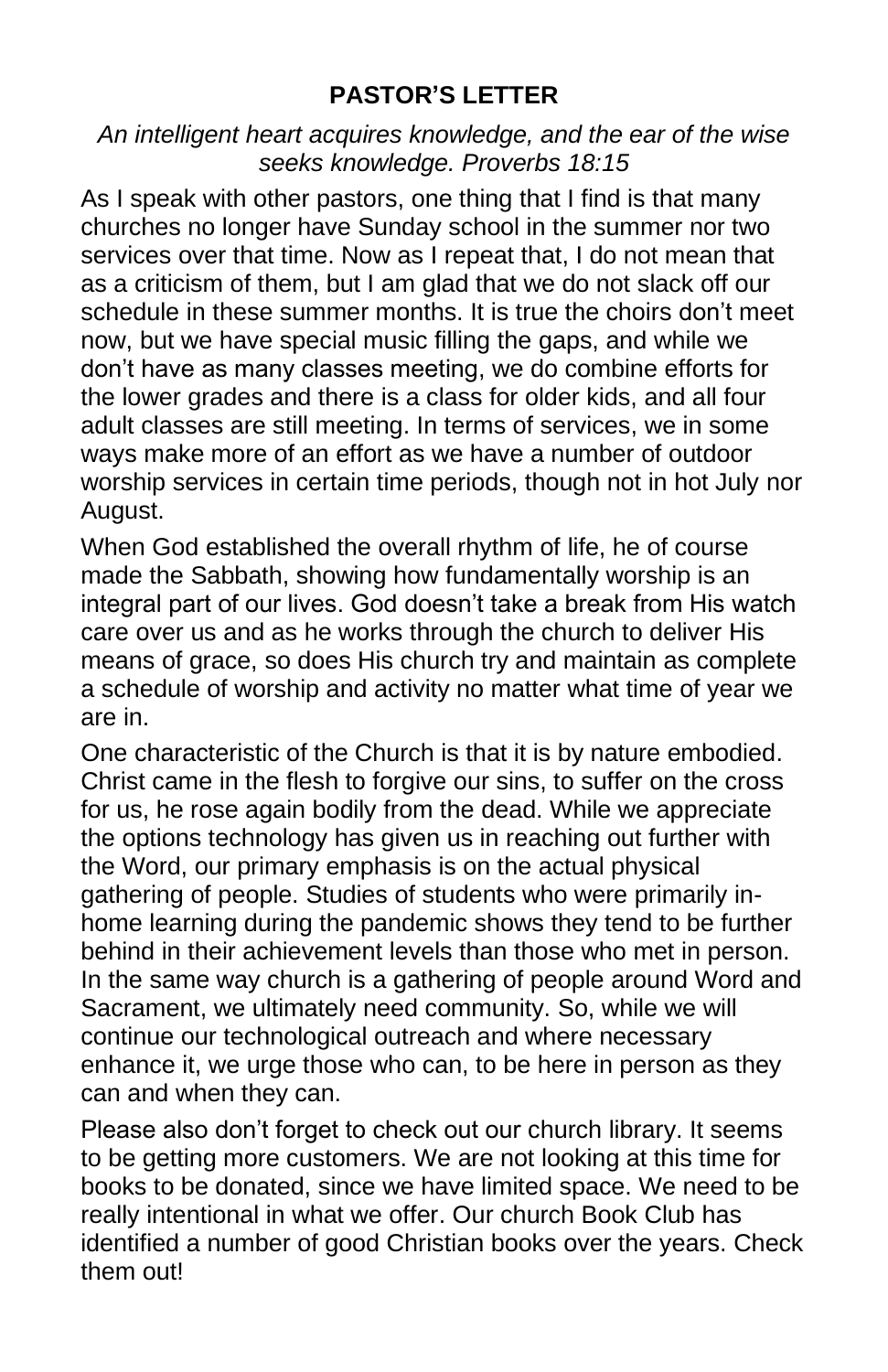#### **PASTOR'S LETTER**

*An intelligent heart acquires knowledge, and the ear of the wise seeks knowledge. Proverbs 18:15*

As I speak with other pastors, one thing that I find is that many churches no longer have Sunday school in the summer nor two services over that time. Now as I repeat that, I do not mean that as a criticism of them, but I am glad that we do not slack off our schedule in these summer months. It is true the choirs don't meet now, but we have special music filling the gaps, and while we don't have as many classes meeting, we do combine efforts for the lower grades and there is a class for older kids, and all four adult classes are still meeting. In terms of services, we in some ways make more of an effort as we have a number of outdoor worship services in certain time periods, though not in hot July nor August.

When God established the overall rhythm of life, he of course made the Sabbath, showing how fundamentally worship is an integral part of our lives. God doesn't take a break from His watch care over us and as he works through the church to deliver His means of grace, so does His church try and maintain as complete a schedule of worship and activity no matter what time of year we are in.

One characteristic of the Church is that it is by nature embodied. Christ came in the flesh to forgive our sins, to suffer on the cross for us, he rose again bodily from the dead. While we appreciate the options technology has given us in reaching out further with the Word, our primary emphasis is on the actual physical gathering of people. Studies of students who were primarily inhome learning during the pandemic shows they tend to be further behind in their achievement levels than those who met in person. In the same way church is a gathering of people around Word and Sacrament, we ultimately need community. So, while we will continue our technological outreach and where necessary enhance it, we urge those who can, to be here in person as they can and when they can.

Please also don't forget to check out our church library. It seems to be getting more customers. We are not looking at this time for books to be donated, since we have limited space. We need to be really intentional in what we offer. Our church Book Club has identified a number of good Christian books over the years. Check them out!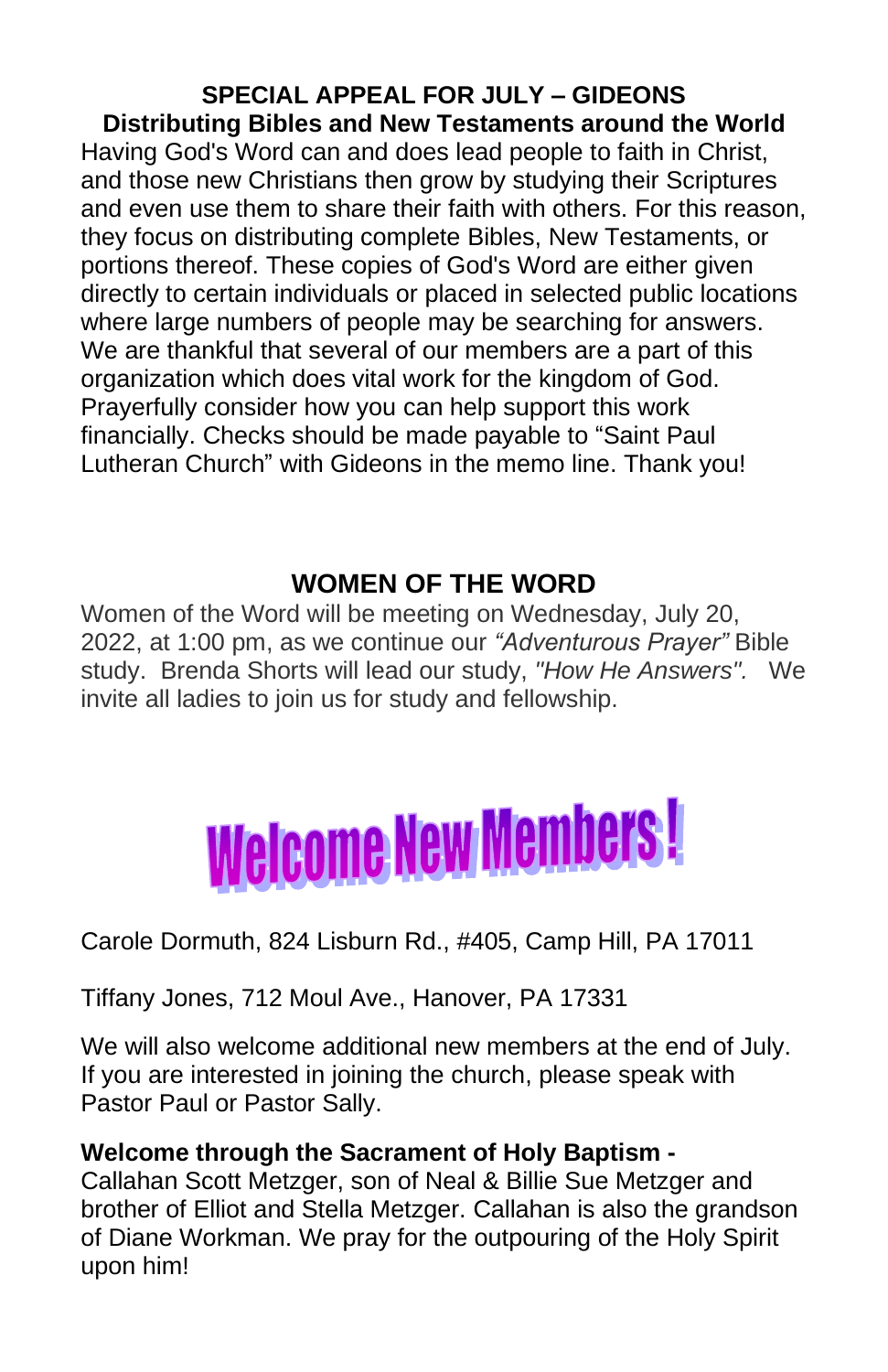**SPECIAL APPEAL FOR JULY – GIDEONS Distributing Bibles and New Testaments around the World** Having God's Word can and does lead people to faith in Christ, and those new Christians then grow by studying their Scriptures and even use them to share their faith with others. For this reason, they focus on distributing complete Bibles, New Testaments, or portions thereof. These copies of God's Word are either given directly to certain individuals or placed in selected public locations where large numbers of people may be searching for answers. We are thankful that several of our members are a part of this organization which does vital work for the kingdom of God. Prayerfully consider how you can help support this work financially. Checks should be made payable to "Saint Paul Lutheran Church" with Gideons in the memo line. Thank you!

## **WOMEN OF THE WORD**

Women of the Word will be meeting on Wednesday, July 20, 2022, at 1:00 pm, as we continue our *"Adventurous Prayer"* Bible study. Brenda Shorts will lead our study, *"How He Answers".* We invite all ladies to join us for study and fellowship.



#### Carole Dormuth, 824 Lisburn Rd., #405, Camp Hill, PA 17011

Tiffany Jones, 712 Moul Ave., Hanover, PA 17331

We will also welcome additional new members at the end of July. If you are interested in joining the church, please speak with Pastor Paul or Pastor Sally.

#### **Welcome through the Sacrament of Holy Baptism -**

Callahan Scott Metzger, son of Neal & Billie Sue Metzger and brother of Elliot and Stella Metzger. Callahan is also the grandson of Diane Workman. We pray for the outpouring of the Holy Spirit upon him!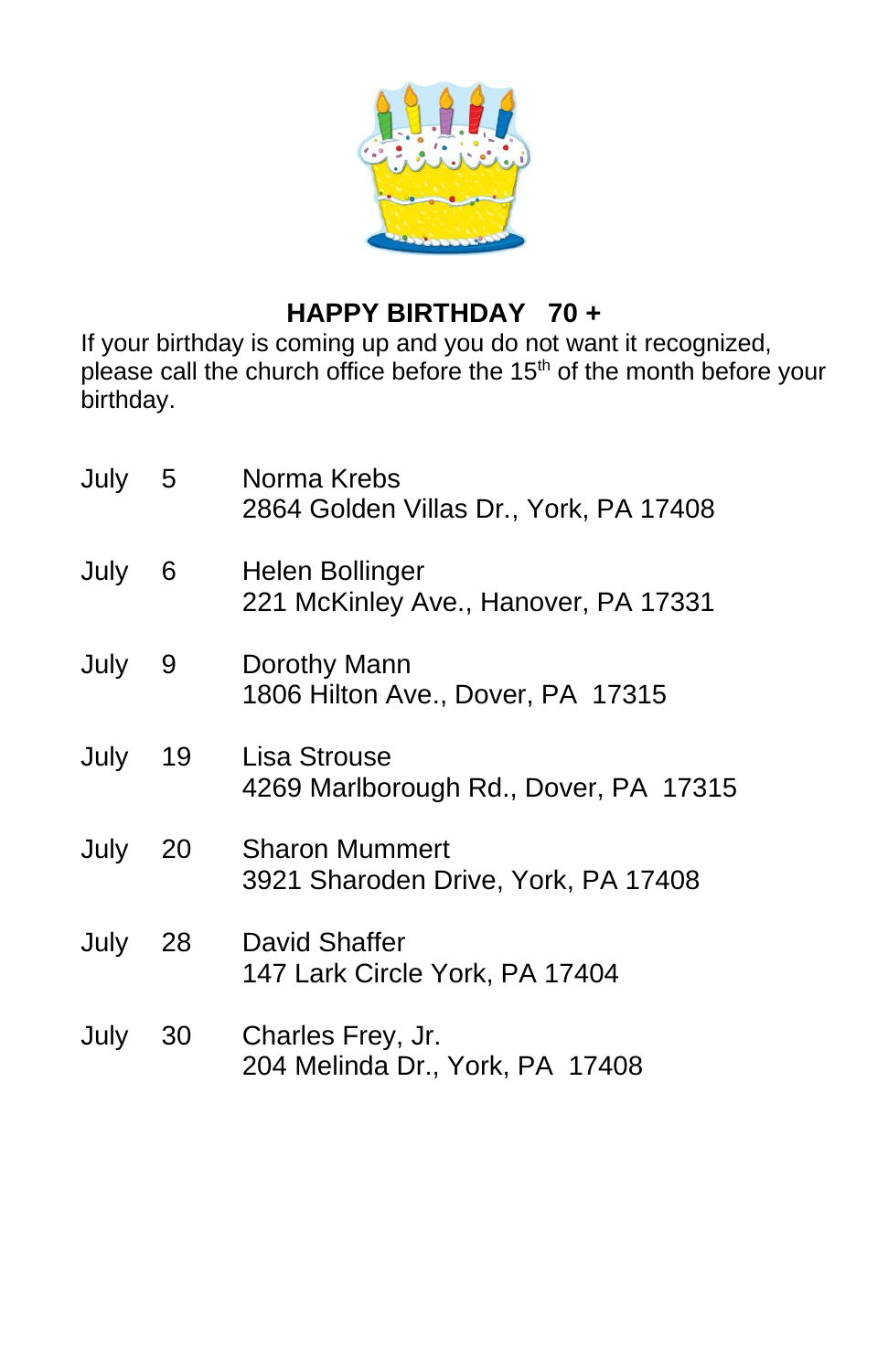

## **HAPPY BIRTHDAY 70 +**

If your birthday is coming up and you do not want it recognized, please call the church office before the 15<sup>th</sup> of the month before your birthday.

| July | 5  | Norma Krebs<br>2864 Golden Villas Dr., York, PA 17408        |
|------|----|--------------------------------------------------------------|
| July | 6  | Helen Bollinger<br>221 McKinley Ave., Hanover, PA 17331      |
| July | 9  | Dorothy Mann<br>1806 Hilton Ave., Dover, PA 17315            |
| July | 19 | Lisa Strouse<br>4269 Marlborough Rd., Dover, PA 17315        |
| July | 20 | <b>Sharon Mummert</b><br>3921 Sharoden Drive, York, PA 17408 |
| July | 28 | David Shaffer<br>147 Lark Circle York, PA 17404              |
| July | 30 | Charles Frey, Jr.<br>204 Melinda Dr., York, PA 17408         |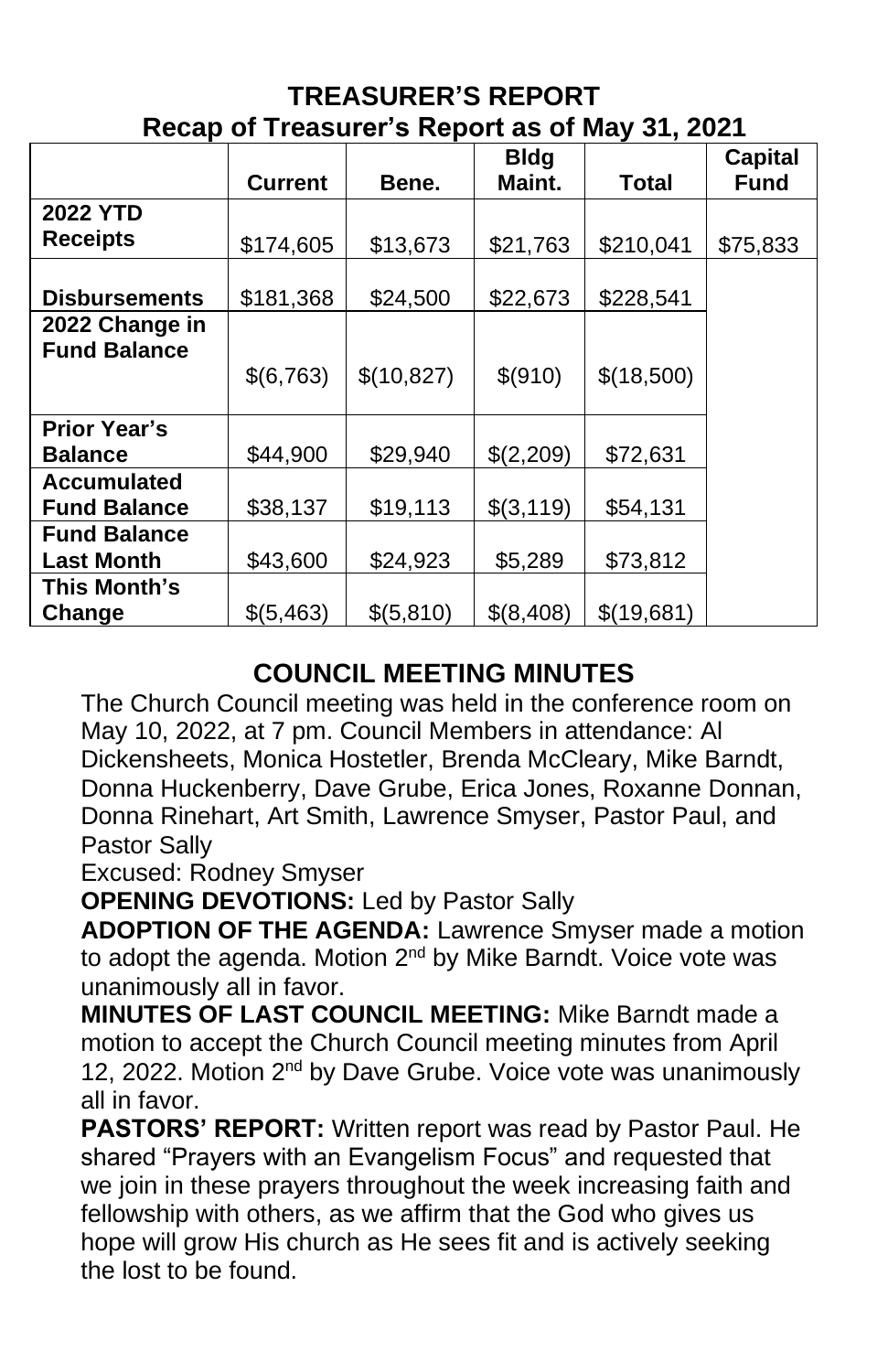| Recap of Treasurer's Report as of May 31, 2021 |                |            |             |            |                |  |  |  |  |
|------------------------------------------------|----------------|------------|-------------|------------|----------------|--|--|--|--|
|                                                |                |            | <b>Bldg</b> |            | <b>Capital</b> |  |  |  |  |
|                                                | <b>Current</b> | Bene.      | Maint.      | Total      | <b>Fund</b>    |  |  |  |  |
| <b>2022 YTD</b>                                |                |            |             |            |                |  |  |  |  |
| <b>Receipts</b>                                | \$174,605      | \$13,673   | \$21,763    | \$210,041  | \$75,833       |  |  |  |  |
|                                                |                |            |             |            |                |  |  |  |  |
| <b>Disbursements</b>                           | \$181,368      | \$24,500   | \$22,673    | \$228,541  |                |  |  |  |  |
| 2022 Change in                                 |                |            |             |            |                |  |  |  |  |
| <b>Fund Balance</b>                            |                |            |             |            |                |  |  |  |  |
|                                                | \$(6,763)      | \$(10,827) | \$(910)     | \$(18,500) |                |  |  |  |  |
|                                                |                |            |             |            |                |  |  |  |  |
| <b>Prior Year's</b>                            |                |            |             |            |                |  |  |  |  |
| <b>Balance</b>                                 | \$44,900       | \$29,940   | \$(2,209)   | \$72,631   |                |  |  |  |  |
| <b>Accumulated</b>                             |                |            |             |            |                |  |  |  |  |
| <b>Fund Balance</b>                            | \$38,137       | \$19,113   | \$(3,119)   | \$54,131   |                |  |  |  |  |
| <b>Fund Balance</b>                            |                |            |             |            |                |  |  |  |  |
| <b>Last Month</b>                              | \$43,600       | \$24,923   | \$5,289     | \$73,812   |                |  |  |  |  |
| This Month's                                   |                |            |             |            |                |  |  |  |  |
| Change                                         | \$(5,463)      | \$(5,810)  | \$(8,408)   | \$(19,681) |                |  |  |  |  |

# **TREASURER'S REPORT**

## **COUNCIL MEETING MINUTES**

The Church Council meeting was held in the conference room on May 10, 2022, at 7 pm. Council Members in attendance: Al Dickensheets, Monica Hostetler, Brenda McCleary, Mike Barndt, Donna Huckenberry, Dave Grube, Erica Jones, Roxanne Donnan, Donna Rinehart, Art Smith, Lawrence Smyser, Pastor Paul, and Pastor Sally

Excused: Rodney Smyser

**OPENING DEVOTIONS:** Led by Pastor Sally

**ADOPTION OF THE AGENDA:** Lawrence Smyser made a motion to adopt the agenda. Motion 2<sup>nd</sup> by Mike Barndt. Voice vote was unanimously all in favor.

**MINUTES OF LAST COUNCIL MEETING:** Mike Barndt made a motion to accept the Church Council meeting minutes from April 12, 2022. Motion 2<sup>nd</sup> by Dave Grube. Voice vote was unanimously all in favor.

**PASTORS' REPORT:** Written report was read by Pastor Paul. He shared "Prayers with an Evangelism Focus" and requested that we join in these prayers throughout the week increasing faith and fellowship with others, as we affirm that the God who gives us hope will grow His church as He sees fit and is actively seeking the lost to be found.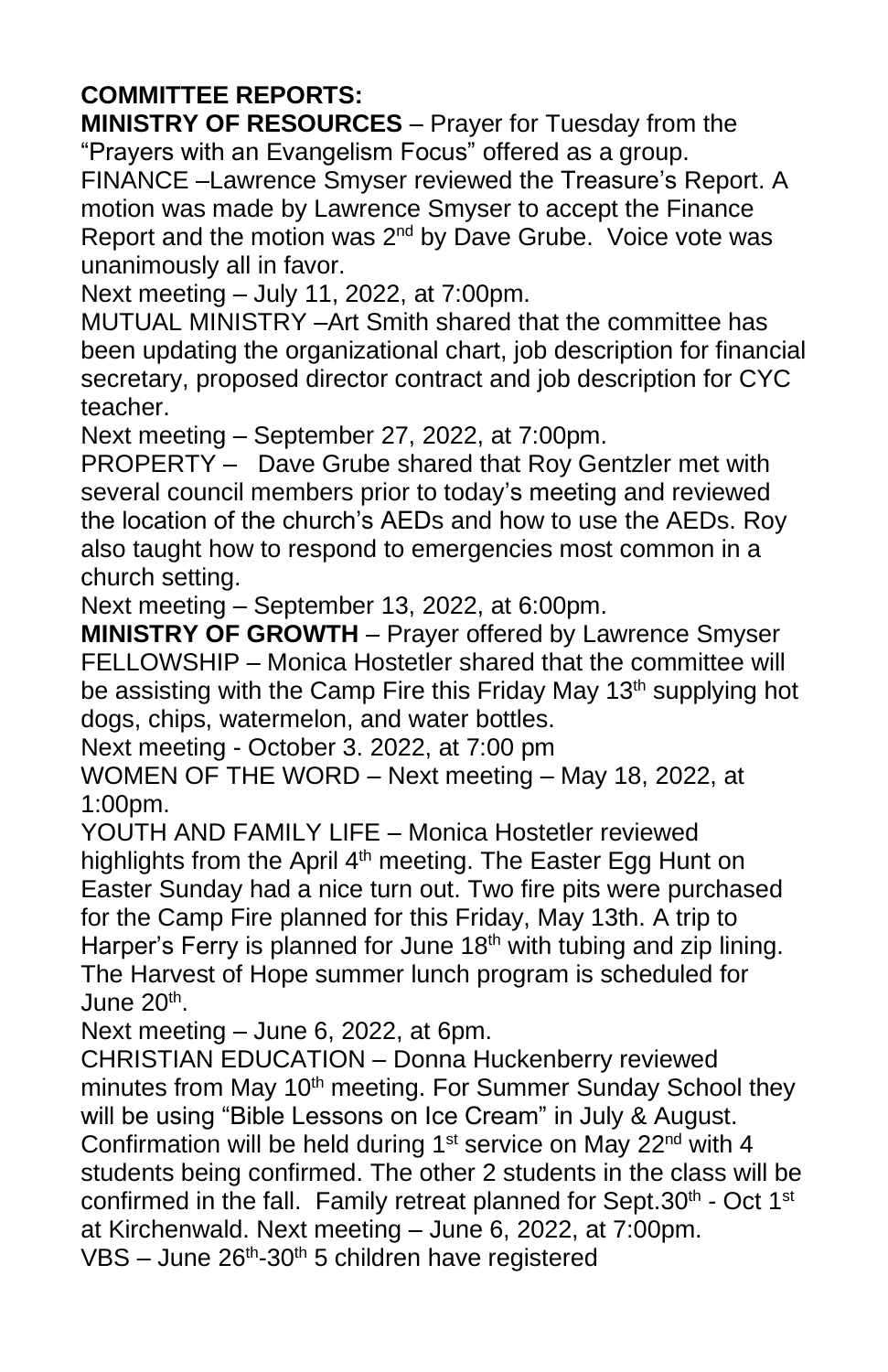#### **COMMITTEE REPORTS:**

**MINISTRY OF RESOURCES** – Prayer for Tuesday from the "Prayers with an Evangelism Focus" offered as a group. FINANCE –Lawrence Smyser reviewed the Treasure's Report. A motion was made by Lawrence Smyser to accept the Finance Report and the motion was 2<sup>nd</sup> by Dave Grube. Voice vote was unanimously all in favor.

Next meeting – July 11, 2022, at 7:00pm.

MUTUAL MINISTRY –Art Smith shared that the committee has been updating the organizational chart, job description for financial secretary, proposed director contract and job description for CYC teacher.

Next meeting – September 27, 2022, at 7:00pm.

PROPERTY – Dave Grube shared that Roy Gentzler met with several council members prior to today's meeting and reviewed the location of the church's AEDs and how to use the AEDs. Roy also taught how to respond to emergencies most common in a church setting.

Next meeting – September 13, 2022, at 6:00pm.

**MINISTRY OF GROWTH** – Prayer offered by Lawrence Smyser FELLOWSHIP – Monica Hostetler shared that the committee will be assisting with the Camp Fire this Friday May 13<sup>th</sup> supplying hot dogs, chips, watermelon, and water bottles.

Next meeting - October 3. 2022, at 7:00 pm

WOMEN OF THE WORD – Next meeting – May 18, 2022, at 1:00pm.

YOUTH AND FAMILY LIFE – Monica Hostetler reviewed highlights from the April  $4<sup>th</sup>$  meeting. The Easter Egg Hunt on Easter Sunday had a nice turn out. Two fire pits were purchased for the Camp Fire planned for this Friday, May 13th. A trip to Harper's Ferry is planned for June  $18<sup>th</sup>$  with tubing and zip lining. The Harvest of Hope summer lunch program is scheduled for June 20<sup>th</sup>.

Next meeting – June 6, 2022, at 6pm.

CHRISTIAN EDUCATION – Donna Huckenberry reviewed minutes from May 10<sup>th</sup> meeting. For Summer Sunday School they will be using "Bible Lessons on Ice Cream" in July & August. Confirmation will be held during  $1<sup>st</sup>$  service on May 22<sup>nd</sup> with 4 students being confirmed. The other 2 students in the class will be confirmed in the fall. Family retreat planned for Sept.30<sup>th</sup> - Oct 1<sup>st</sup> at Kirchenwald. Next meeting – June 6, 2022, at 7:00pm. VBS - June  $26<sup>th</sup>$ -30<sup>th</sup> 5 children have registered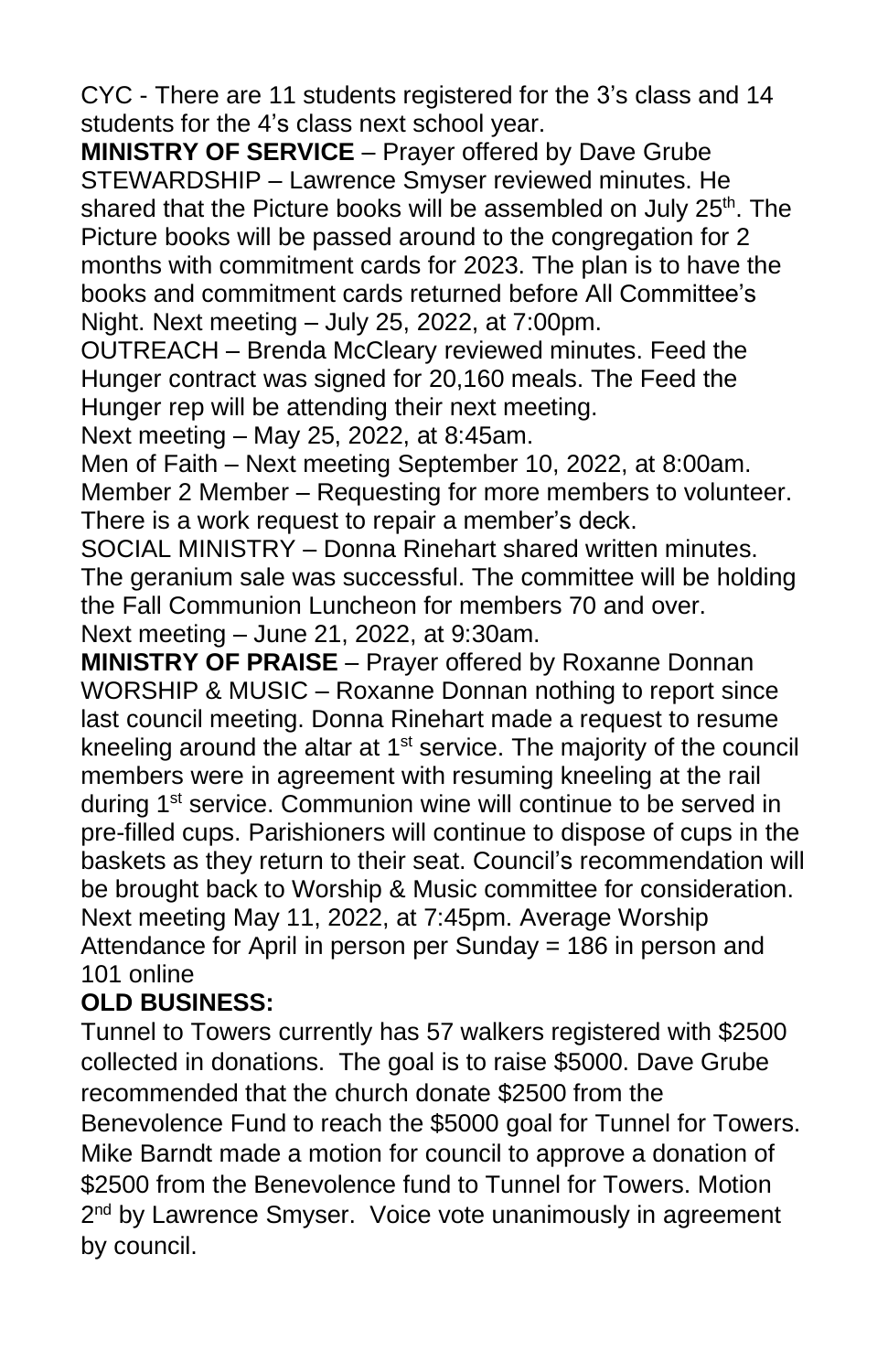CYC - There are 11 students registered for the 3's class and 14 students for the 4's class next school year.

**MINISTRY OF SERVICE** – Prayer offered by Dave Grube STEWARDSHIP – Lawrence Smyser reviewed minutes. He shared that the Picture books will be assembled on July 25<sup>th</sup>. The Picture books will be passed around to the congregation for 2 months with commitment cards for 2023. The plan is to have the books and commitment cards returned before All Committee's Night. Next meeting – July 25, 2022, at 7:00pm.

OUTREACH – Brenda McCleary reviewed minutes. Feed the Hunger contract was signed for 20,160 meals. The Feed the Hunger rep will be attending their next meeting.

Next meeting – May 25, 2022, at 8:45am.

Men of Faith – Next meeting September 10, 2022, at 8:00am. Member 2 Member – Requesting for more members to volunteer. There is a work request to repair a member's deck.

SOCIAL MINISTRY – Donna Rinehart shared written minutes. The geranium sale was successful. The committee will be holding the Fall Communion Luncheon for members 70 and over. Next meeting – June 21, 2022, at 9:30am.

**MINISTRY OF PRAISE** – Prayer offered by Roxanne Donnan WORSHIP & MUSIC – Roxanne Donnan nothing to report since last council meeting. Donna Rinehart made a request to resume kneeling around the altar at 1<sup>st</sup> service. The majority of the council members were in agreement with resuming kneeling at the rail during 1<sup>st</sup> service. Communion wine will continue to be served in pre-filled cups. Parishioners will continue to dispose of cups in the baskets as they return to their seat. Council's recommendation will be brought back to Worship & Music committee for consideration. Next meeting May 11, 2022, at 7:45pm. Average Worship Attendance for April in person per Sunday = 186 in person and 101 online

#### **OLD BUSINESS:**

Tunnel to Towers currently has 57 walkers registered with \$2500 collected in donations. The goal is to raise \$5000. Dave Grube recommended that the church donate \$2500 from the Benevolence Fund to reach the \$5000 goal for Tunnel for Towers. Mike Barndt made a motion for council to approve a donation of \$2500 from the Benevolence fund to Tunnel for Towers. Motion 2<sup>nd</sup> by Lawrence Smyser. Voice vote unanimously in agreement by council.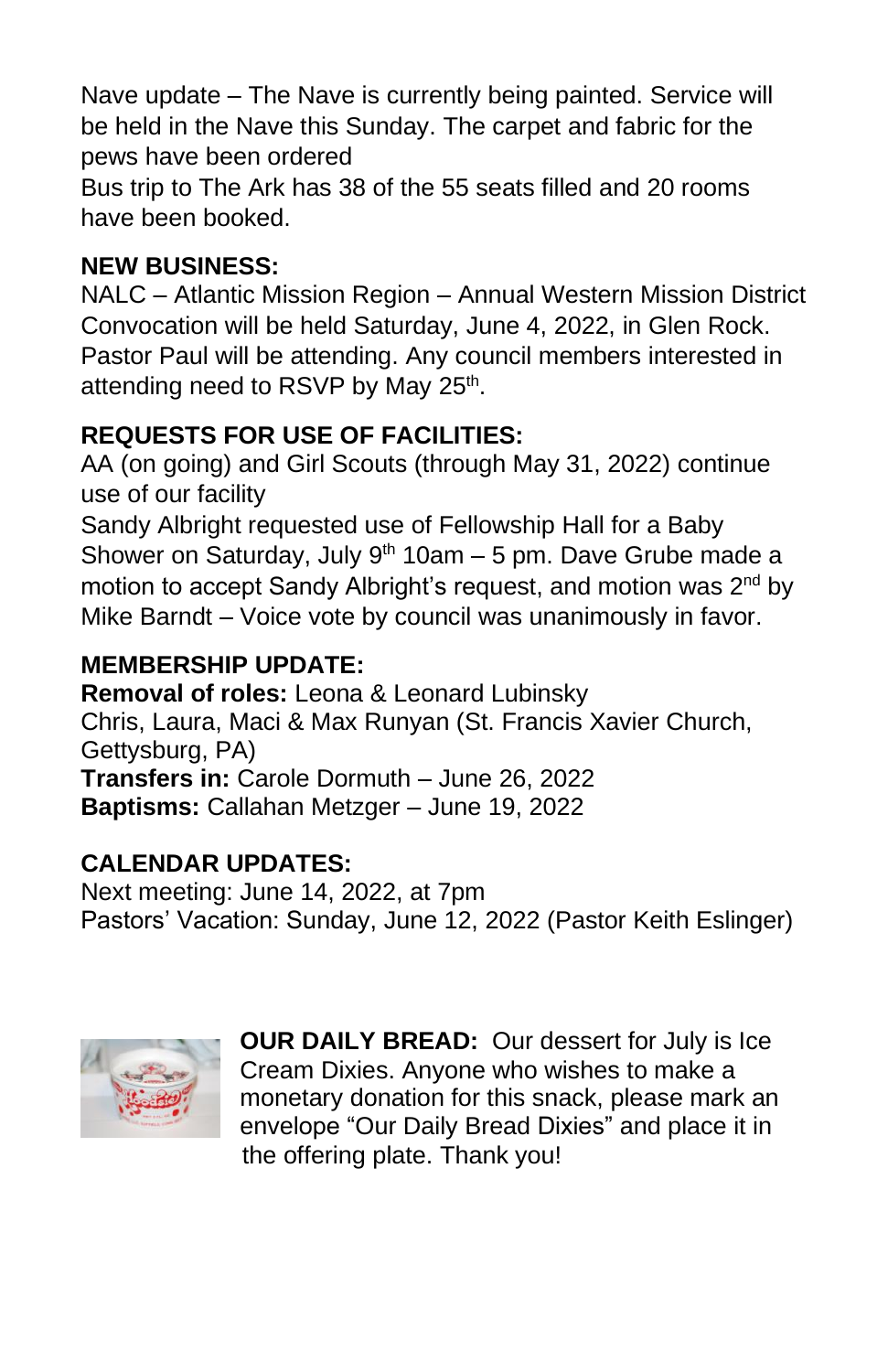Nave update – The Nave is currently being painted. Service will be held in the Nave this Sunday. The carpet and fabric for the pews have been ordered

Bus trip to The Ark has 38 of the 55 seats filled and 20 rooms have been booked.

## **NEW BUSINESS:**

NALC – Atlantic Mission Region – Annual Western Mission District Convocation will be held Saturday, June 4, 2022, in Glen Rock. Pastor Paul will be attending. Any council members interested in attending need to RSVP by May 25<sup>th</sup>.

## **REQUESTS FOR USE OF FACILITIES:**

AA (on going) and Girl Scouts (through May 31, 2022) continue use of our facility

Sandy Albright requested use of Fellowship Hall for a Baby Shower on Saturday, July  $9<sup>th</sup> 10am - 5$  pm. Dave Grube made a motion to accept Sandy Albright's request, and motion was 2<sup>nd</sup> by Mike Barndt – Voice vote by council was unanimously in favor.

## **MEMBERSHIP UPDATE:**

**Removal of roles:** Leona & Leonard Lubinsky Chris, Laura, Maci & Max Runyan (St. Francis Xavier Church, Gettysburg, PA) **Transfers in:** Carole Dormuth – June 26, 2022 **Baptisms:** Callahan Metzger – June 19, 2022

#### **CALENDAR UPDATES:**

Next meeting: June 14, 2022, at 7pm Pastors' Vacation: Sunday, June 12, 2022 (Pastor Keith Eslinger)



**OUR DAILY BREAD:** Our dessert for July is Ice Cream Dixies. Anyone who wishes to make a monetary donation for this snack, please mark an envelope "Our Daily Bread Dixies" and place it in the offering plate. Thank you!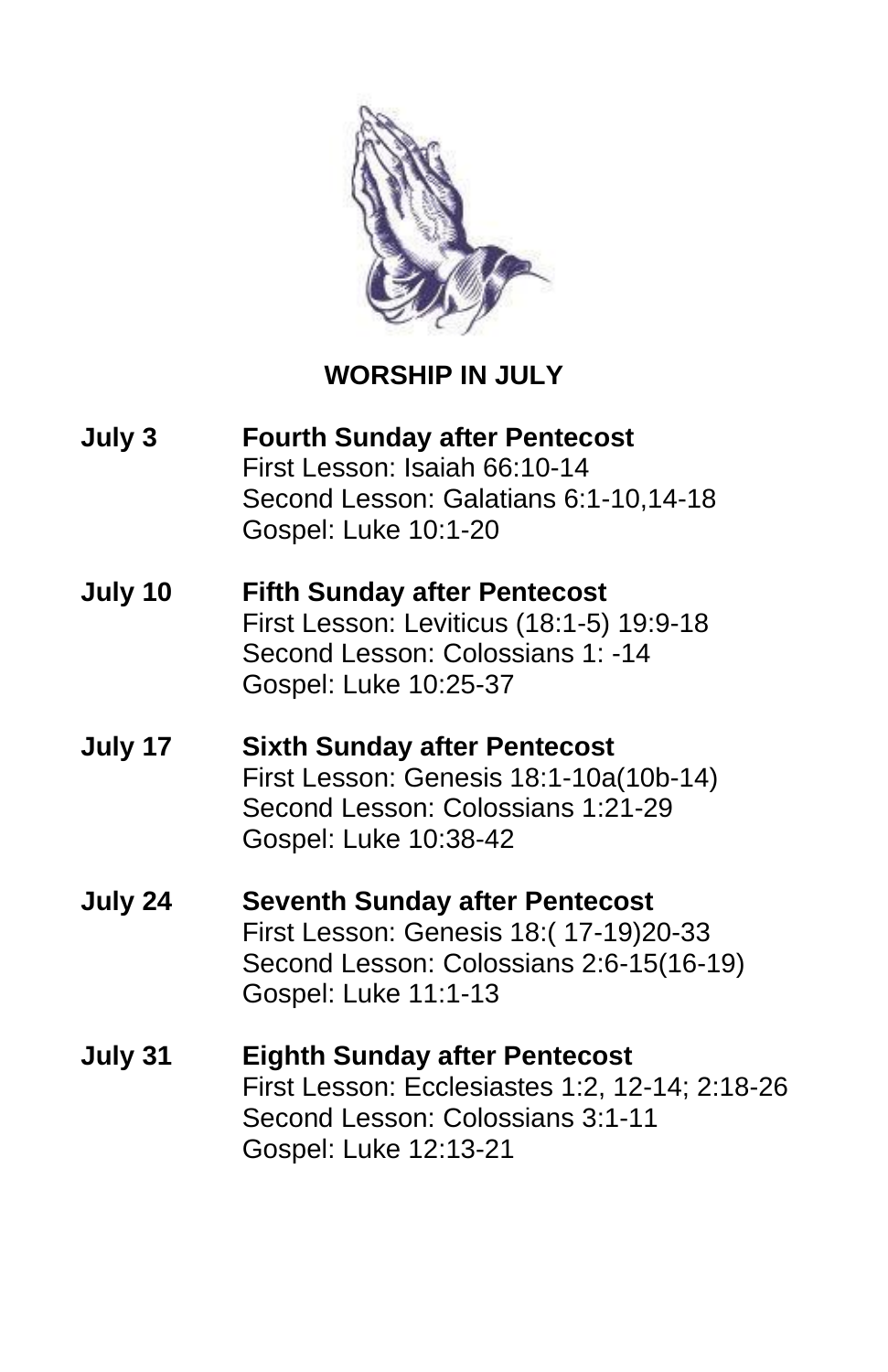

## **WORSHIP IN JULY**

**July 3 Fourth Sunday after Pentecost**  First Lesson: Isaiah 66:10-14 Second Lesson: Galatians 6:1-10,14-18 Gospel: Luke 10:1-20 **July 10 Fifth Sunday after Pentecost**  First Lesson: Leviticus (18:1-5) 19:9-18 Second Lesson: Colossians 1: -14 Gospel: Luke 10:25-37 **July 17 Sixth Sunday after Pentecost**  First Lesson: Genesis 18:1-10a(10b-14) Second Lesson: Colossians 1:21-29 Gospel: Luke 10:38-42 **July 24 Seventh Sunday after Pentecost**  First Lesson: Genesis 18:( 17-19)20-33 Second Lesson: Colossians 2:6-15(16-19) Gospel: Luke 11:1-13 **July 31 Eighth Sunday after Pentecost** First Lesson: Ecclesiastes 1:2, 12-14; 2:18-26 Second Lesson: Colossians 3:1-11 Gospel: Luke 12:13-21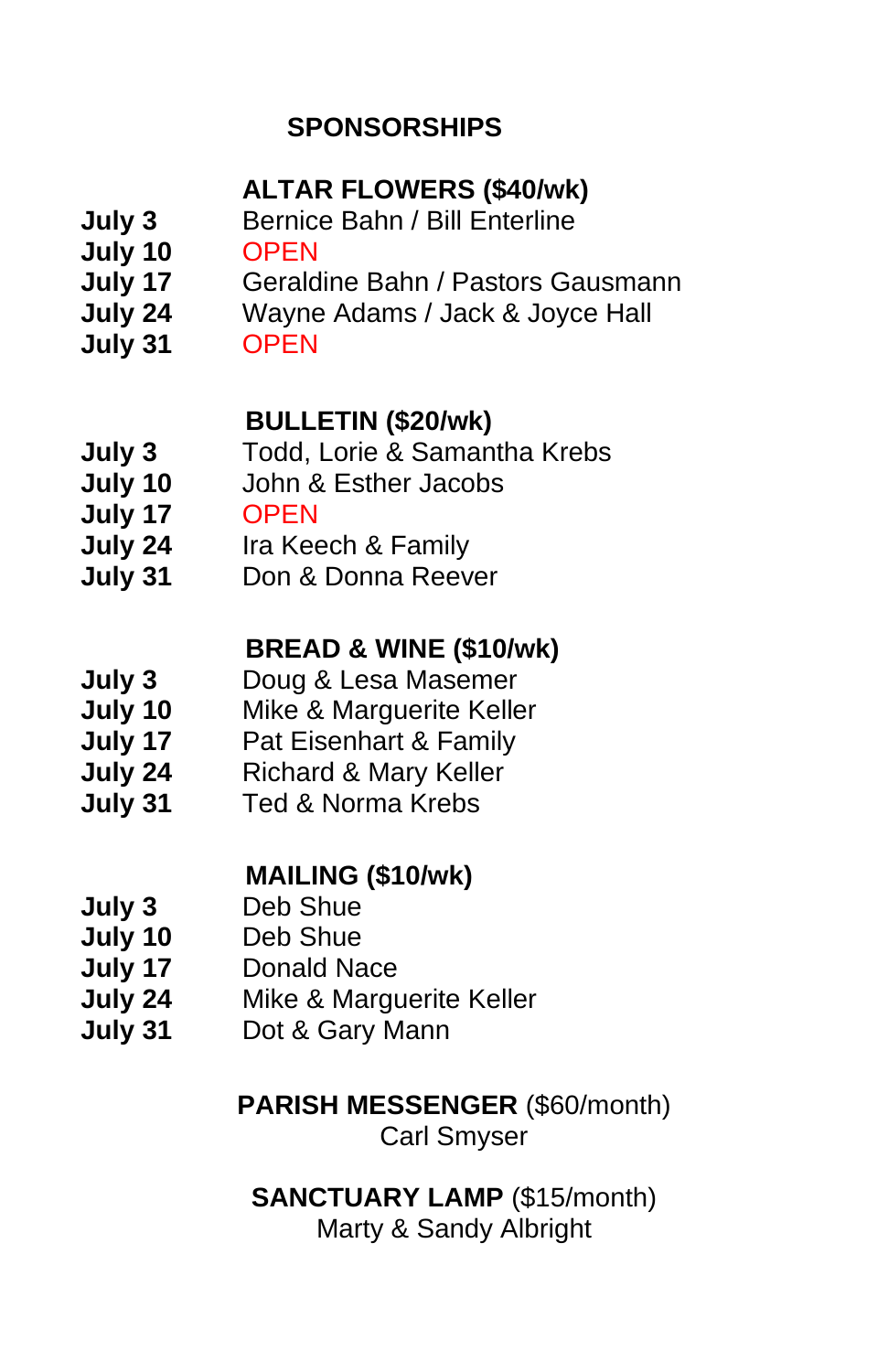## **SPONSORSHIPS**

## **ALTAR FLOWERS (\$40/wk)**

- **July 3** Bernice Bahn / Bill Enterline
- **July 10** OPEN
- **July 17** Geraldine Bahn / Pastors Gausmann
- **July 24** Wayne Adams / Jack & Joyce Hall
- **July 31** OPEN

## **BULLETIN (\$20/wk)**

- **July 3** Todd, Lorie & Samantha Krebs
- **July 10** John & Esther Jacobs
- **July 17** OPEN
- **July 24** Ira Keech & Family
- **July 31** Don & Donna Reever

## **BREAD & WINE (\$10/wk)**

- **July 3** Doug & Lesa Masemer
- **July 10** Mike & Marguerite Keller
- **July 17** Pat Eisenhart & Family
- **July 24** Richard & Mary Keller
- **July 31** Ted & Norma Krebs

## **MAILING (\$10/wk)**

- **July 3** Deb Shue
- **July 10** Deb Shue
- **July 17** Donald Nace
- **July 24** Mike & Marguerite Keller
- **July 31** Dot & Gary Mann

## **PARISH MESSENGER** (\$60/month)

Carl Smyser

## **SANCTUARY LAMP** (\$15/month) Marty & Sandy Albright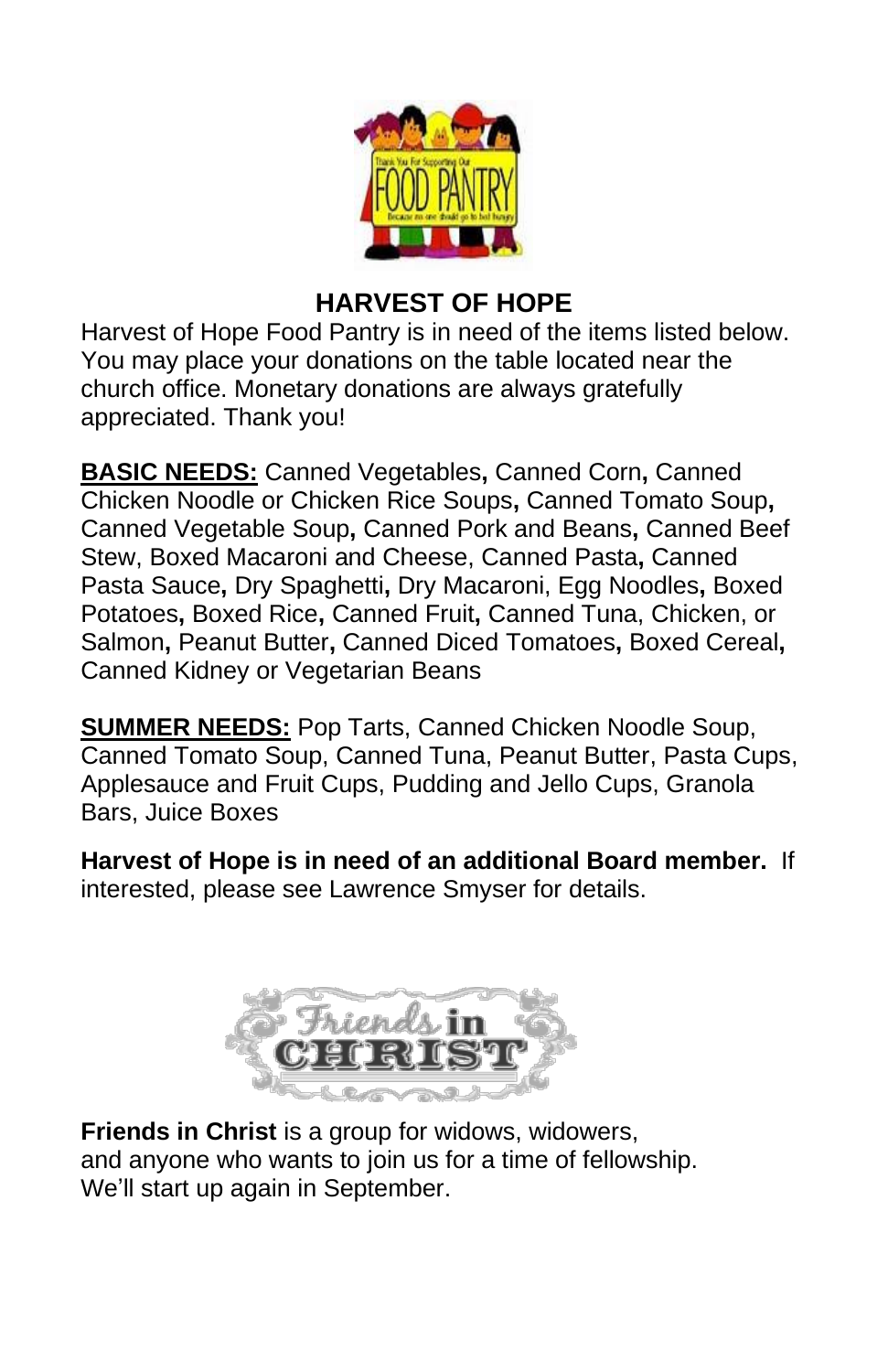

## **HARVEST OF HOPE**

Harvest of Hope Food Pantry is in need of the items listed below. You may place your donations on the table located near the church office. Monetary donations are always gratefully appreciated. Thank you!

**BASIC NEEDS:** Canned Vegetables**,** Canned Corn**,** Canned Chicken Noodle or Chicken Rice Soups**,** Canned Tomato Soup**,**  Canned Vegetable Soup**,** Canned Pork and Beans**,** Canned Beef Stew, Boxed Macaroni and Cheese, Canned Pasta**,** Canned Pasta Sauce**,** Dry Spaghetti**,** Dry Macaroni, Egg Noodles**,** Boxed Potatoes**,** Boxed Rice**,** Canned Fruit**,** Canned Tuna, Chicken, or Salmon**,** Peanut Butter**,** Canned Diced Tomatoes**,** Boxed Cereal**,**  Canned Kidney or Vegetarian Beans

**SUMMER NEEDS:** Pop Tarts, Canned Chicken Noodle Soup, Canned Tomato Soup, Canned Tuna, Peanut Butter, Pasta Cups, Applesauce and Fruit Cups, Pudding and Jello Cups, Granola Bars, Juice Boxes

**Harvest of Hope is in need of an additional Board member.** If interested, please see Lawrence Smyser for details.



**Friends in Christ** is a group for widows, widowers, and anyone who wants to join us for a time of fellowship. We'll start up again in September.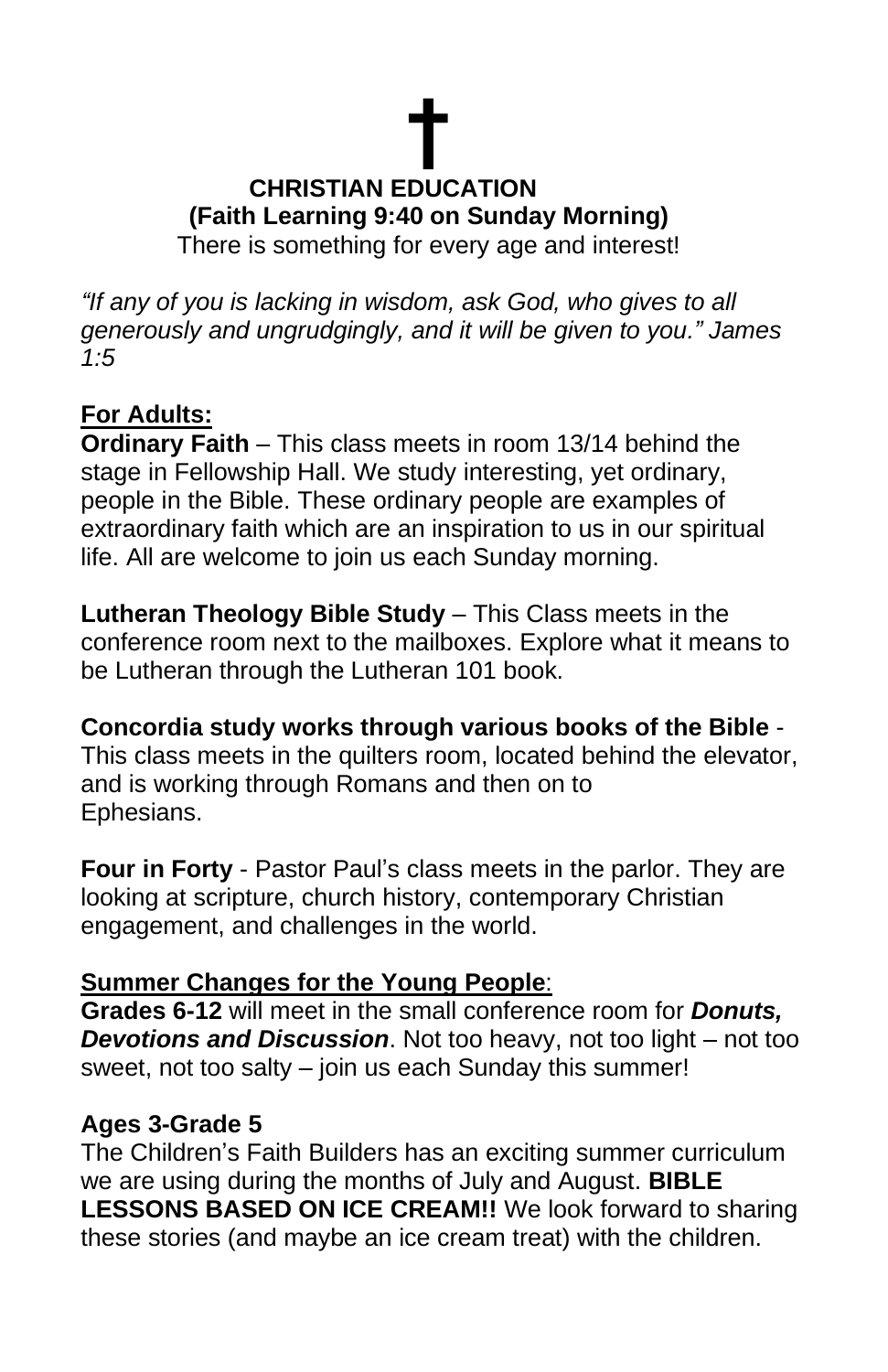## **† CHRISTIAN EDUCATION (Faith Learning 9:40 on Sunday Morning)** There is something for every age and interest!

*"If any of you is lacking in wisdom, ask God, who gives to all generously and ungrudgingly, and it will be given to you." James 1:5*

#### **For Adults:**

**Ordinary Faith** – This class meets in room 13/14 behind the stage in Fellowship Hall. We study interesting, yet ordinary, people in the Bible. These ordinary people are examples of extraordinary faith which are an inspiration to us in our spiritual life. All are welcome to join us each Sunday morning.

**Lutheran Theology Bible Study** – This Class meets in the conference room next to the mailboxes. Explore what it means to be Lutheran through the Lutheran 101 book.

**Concordia study works through various books of the Bible** - This class meets in the quilters room, located behind the elevator, and is working through Romans and then on to Ephesians.

**Four in Forty** - Pastor Paul's class meets in the parlor. They are looking at scripture, church history, contemporary Christian engagement, and challenges in the world.

#### **Summer Changes for the Young People**:

**Grades 6-12** will meet in the small conference room for *Donuts, Devotions and Discussion*. Not too heavy, not too light – not too sweet, not too salty – join us each Sunday this summer!

#### **Ages 3-Grade 5**

The Children's Faith Builders has an exciting summer curriculum we are using during the months of July and August. **BIBLE LESSONS BASED ON ICE CREAM!!** We look forward to sharing these stories (and maybe an ice cream treat) with the children.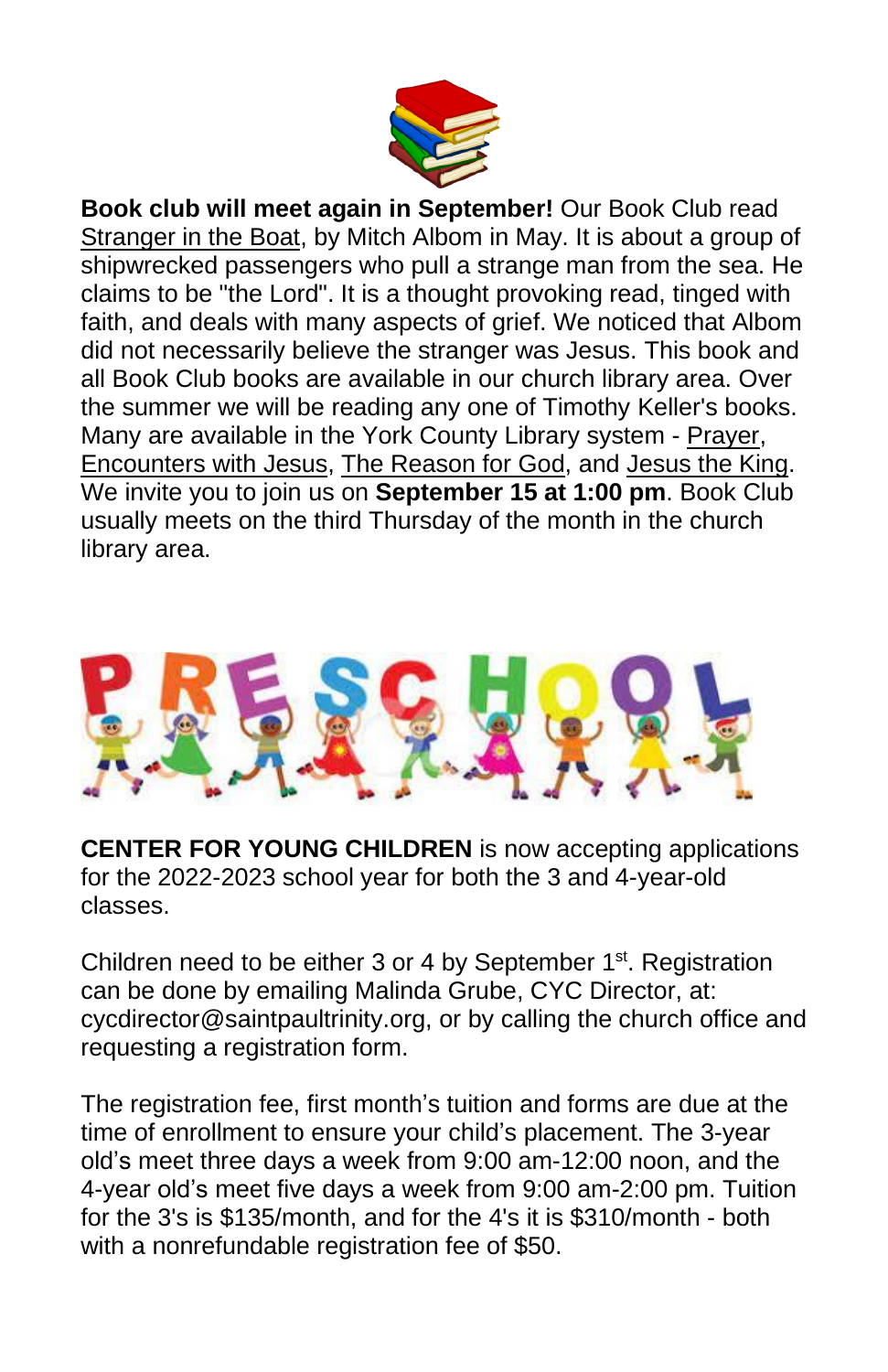

**Book club will meet again in September!** Our Book Club read Stranger in the Boat, by Mitch Albom in May. It is about a group of shipwrecked passengers who pull a strange man from the sea. He claims to be "the Lord". It is a thought provoking read, tinged with faith, and deals with many aspects of grief. We noticed that Albom did not necessarily believe the stranger was Jesus. This book and all Book Club books are available in our church library area. Over the summer we will be reading any one of Timothy Keller's books. Many are available in the York County Library system - Prayer, Encounters with Jesus, The Reason for God, and Jesus the King. We invite you to join us on **September 15 at 1:00 pm**. Book Club usually meets on the third Thursday of the month in the church library area.



**CENTER FOR YOUNG CHILDREN** is now accepting applications for the 2022-2023 school year for both the 3 and 4-year-old classes.

Children need to be either 3 or 4 by September 1<sup>st</sup>. Registration can be done by emailing Malinda Grube, CYC Director, at: cycdirector@saintpaultrinity.org, or by calling the church office and requesting a registration form.

The registration fee, first month's tuition and forms are due at the time of enrollment to ensure your child's placement. The 3-year old's meet three days a week from 9:00 am-12:00 noon, and the 4-year old's meet five days a week from 9:00 am-2:00 pm. Tuition for the 3's is \$135/month, and for the 4's it is \$310/month - both with a nonrefundable registration fee of \$50.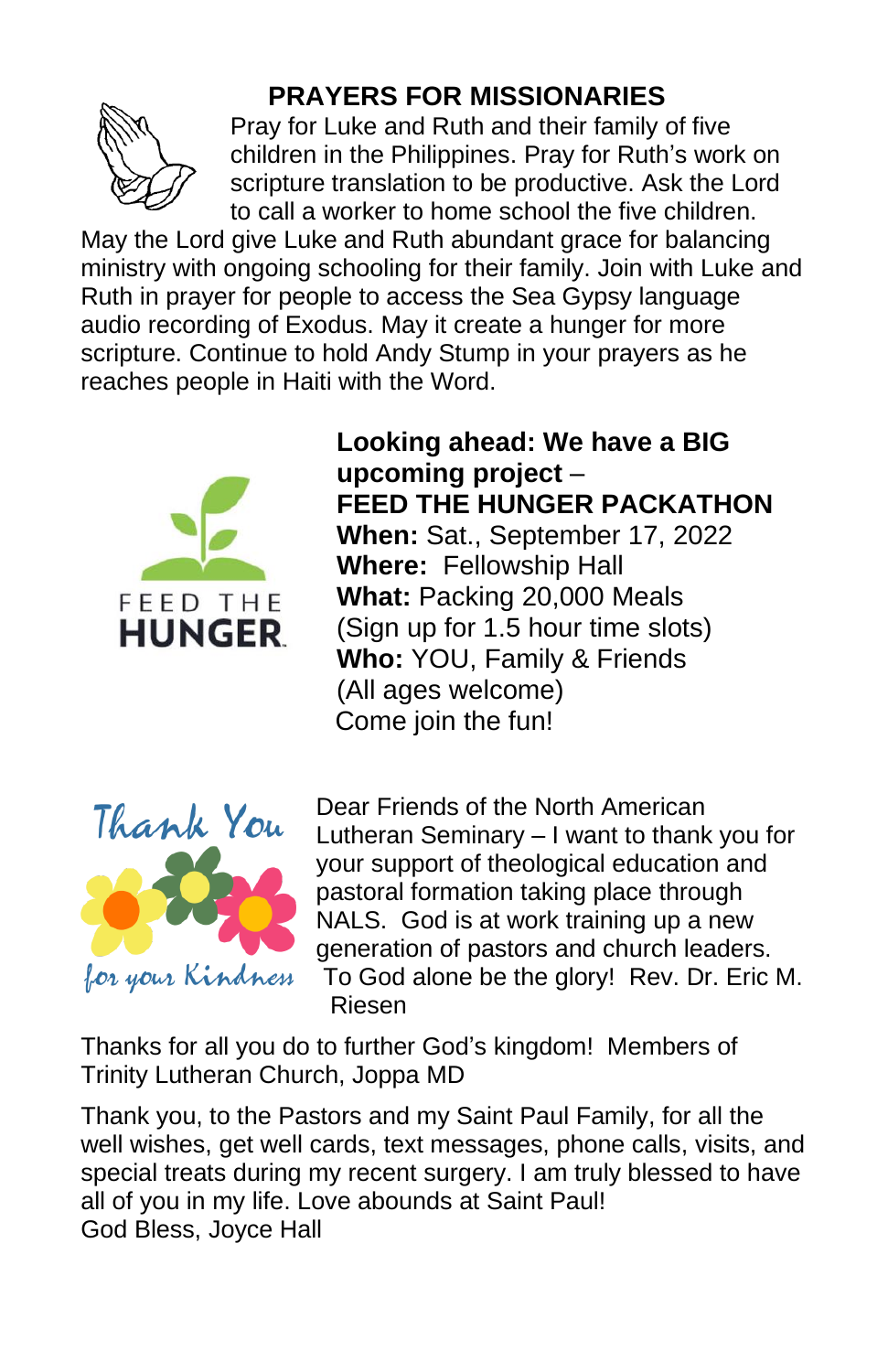

## **PRAYERS FOR MISSIONARIES**

Pray for Luke and Ruth and their family of five children in the Philippines. Pray for Ruth's work on scripture translation to be productive. Ask the Lord to call a worker to home school the five children.

May the Lord give Luke and Ruth abundant grace for balancing ministry with ongoing schooling for their family. Join with Luke and Ruth in prayer for people to access the Sea Gypsy language audio recording of Exodus. May it create a hunger for more scripture. Continue to hold Andy Stump in your prayers as he reaches people in Haiti with the Word.



**Looking ahead: We have a BIG upcoming project** – **FEED THE HUNGER PACKATHON When:** Sat., September 17, 2022 **Where:** Fellowship Hall **What:** Packing 20,000 Meals (Sign up for 1.5 hour time slots) **Who:** YOU, Family & Friends (All ages welcome) Come join the fun!



Dear Friends of the North American Lutheran Seminary – I want to thank you for your support of theological education and pastoral formation taking place through NALS. God is at work training up a new generation of pastors and church leaders. To God alone be the glory! Rev. Dr. Eric M. Riesen

Thanks for all you do to further God's kingdom! Members of Trinity Lutheran Church, Joppa MD

Thank you, to the Pastors and my Saint Paul Family, for all the well wishes, get well cards, text messages, phone calls, visits, and special treats during my recent surgery. I am truly blessed to have all of you in my life. Love abounds at Saint Paul! God Bless, Joyce Hall